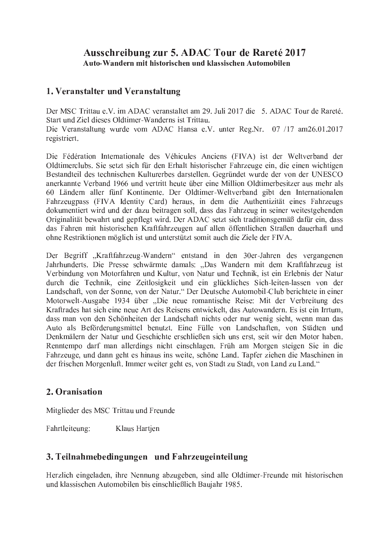#### Ausschreibung zur 5. ADAC Tour de Rareté 2017 Auto-Wandern mit historischen und klassischen Automobilen

# 1. Veranstalter und Veranstaltung

Der MSC Trittau e.V. im ADAC veranstaltet am 29. Juli 2017 die 5. ADAC Tour de Rareté. Start und Ziel dieses Oldtimer-Wanderns ist Trittau. Die Veranstaltung wurde vom ADAC Hansa e.V. unter Reg.Nr. 07 /17 am26.01.2017 registriert.

Die Fédération Internationale des Véhicules Anciens (FIVA) ist der Weltverband der Oldtimerclubs. Sie setzt sich für den Erhalt historischer Fahrzeuge ein, die einen wichtigen Bestandteil des technischen Kulturerbes darstellen. Gegründet wurde der von der UNESCO anerkannte Verband 1966 und vertritt heute über eine Million Oldtimerbesitzer aus mehr als 60 Ländern aller fünf Kontinente. Der Oldtimer-Weltverband gibt den Internationalen Fahrzeugpass (FIVA Identity Card) heraus, in dem die Authentizität eines Fahrzeugs dokumentiert wird und der dazu beitragen soll, dass das Fahrzeug in seiner weitestgehenden Originalität bewahrt und gepflegt wird. Der ADAC setzt sich traditionsgemäß dafür ein, dass das Fahren mit historischen Kraftfahrzeugen auf allen öffentlichen Straßen dauerhaft und ohne Restriktionen möglich ist und unterstützt somit auch die Ziele der FIVA.

Der Begriff "Kraftfahrzeug-Wandern" entstand in den 30er-Jahren des vergangenen Jahrhunderts. Die Presse schwärmte damals: "Das Wandern mit dem Kraftfahrzeug ist Verbindung von Motorfahren und Kultur, von Natur und Technik, ist ein Erlebnis der Natur durch die Technik, eine Zeitlosigkeit und ein glückliches Sich-leiten-lassen von der Landschaft, von der Sonne, von der Natur." Der Deutsche Automobil-Club berichtete in einer Motorwelt-Ausgabe 1934 über "Die neue romantische Reise: Mit der Verbreitung des Kraftrades hat sich eine neue Art des Reisens entwickelt, das Autowandern. Es ist ein Irrtum, dass man von den Schönheiten der Landschaft nichts oder nur wenig sieht, wenn man das Auto als Beförderungsmittel benutzt. Eine Fülle von Landschaften, von Städten und Denkmälern der Natur und Geschichte erschließen sich uns erst, seit wir den Motor haben. Renntempo darf man allerdings nicht einschlagen. Früh am Morgen steigen Sie in die Fahrzeuge, und dann geht es hinaus ins weite, schöne Land. Tapfer ziehen die Maschinen in der frischen Morgenluft, Immer weiter geht es, von Stadt zu Stadt, von Land zu Land."

#### 2. Oranisation

Mitglieder des MSC Trittau und Freunde

Fahrtleiteung: Klaus Hartjen

#### 3. Teilnahmebedingungen und Fahrzeugeinteilung

Herzlich eingeladen, ihre Nennung abzugeben, sind alle Oldtimer-Freunde mit historischen und klassischen Automobilen bis einschließlich Baujahr 1985.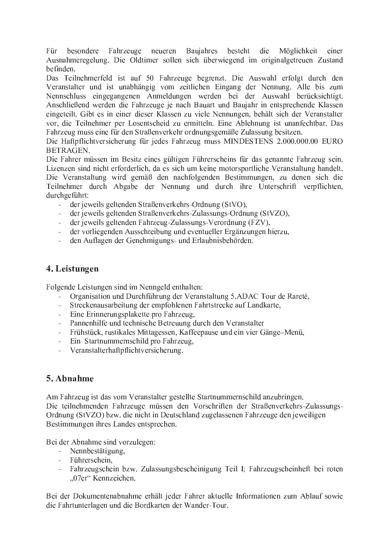Für besondere Fahrzeuge neueren Baujahres besteht die Möglichkeit einer Ausnahmeregelung. Die Oldtimer sollen sich überwiegend im originalgetreuen Zustand befinden.

Das Teilnehmerfeld ist auf 50 Fahrzeuge begrenzt. Die Auswahl erfolgt durch den Veranstalter und ist unabhängig vom zeitlichen Eingang der Nennung. Alle bis zum Nennschluss eingegangenen Anmeldungen werden bei der Auswahl berücksichtigt. Anschließend werden die Fahrzeuge je nach Bauart und Baujahr in entsprechende Klassen eingeteilt. Gibt es in einer dieser Klassen zu viele Nennungen, behält sich der Veranstalter vor, die Teilnehmer per Losentscheid zu ermitteln. Eine Ablehnung ist unanfechtbar. Das Fahrzeug muss eine für den Straßenverkehr ordnungsgemäße Zulassung besitzen.

Die Haftpflichtversicherung für jedes Fahrzeug muss MINDESTENS 2.000.000.00 EURO BETRAGEN.

Die Fahrer müssen im Besitz eines gültigen Führerscheins für das genannte Fahrzeug sein. Lizenzen sind nicht erforderlich, da es sich um keine motorsportliche Veranstaltung handelt. Die Veranstaltung wird gemäß den nachfolgenden Bestimmungen, zu denen sich die Teilnehmer durch Abgabe der Nennung und durch ihre Unterschrift verpflichten, durchgeführt:

- der jeweils geltenden Straßenverkehrs-Ordnung (StVO),
- der jeweils geltenden Straßenverkehrs-Zulassungs-Ordnung (StVZO),
- der jeweils geltenden Fahrzeug-Zulassungs-Verordnung (FZV),
- der vorliegenden Ausschreibung und eventueller Ergänzungen hierzu,
- den Auflagen der Genehmigungs- und Erlaubnisbehörden.

#### 4. Leistungen

Folgende Leistungen sind im Nenngeld enthalten:

- Organisation und Durchführung der Veranstaltung 5.ADAC Tour de Rareté,
- Streckenausarbeitung der empfohlenen Fahrtstrecke auf Landkarte,
- Eine Erinnerungsplakette pro Fahrzeug.
- Pannenhilfe und technische Betreuung durch den Veranstalter
- Frühstück, rustikales Mittagessen, Kaffeepause und ein vier Gänge-Menü,
- Ein Startnummernschild pro Fahrzeug,
- Veranstalterhaftpflichtversicherung.

# <sup>º</sup> / » <sup>²</sup> <sup>4</sup> <sup>3</sup> ° <sup>±</sup> <sup>1</sup>

Am Fahrzeug ist das vom Veranstalter gestellte Startnummernschild anzubringen. Die teilnehmenden Fahrzeuge müssen den Vorschriften der Straßenverkehrs-Zulassungs-Ordnung (StVZO) bzw. die nicht in Deutschland zugelassenen Fahrzeuge den jeweiligen Bestimmungen ihres Landes entsprechen.

Bei der Abnahme sind vorzulegen:

- Nennbestätigung,
- Führerschein,
- Fahrzeugschein bzw. Zulassungsbescheinigung Teil I; Fahrzeugscheinheft bei roten "07er" Kennzeichen.

Bei der Dokumentenabnahme erhält jeder Fahrer aktuelle Informationen zum Ablauf sowie die Fahrtunterlagen und die Bordkarten der Wander-Tour.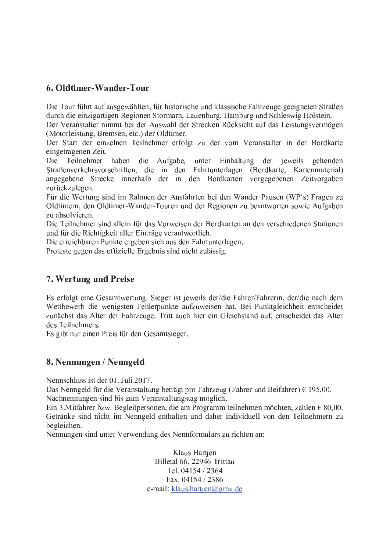# 6. Oldtimer-Wander-Tour

Die Tour führt auf ausgewählten, für historische und klassische Fahrzeuge geeigneten Straßen durch die einzigartigen Regionen Stormarn, Lauenburg, Hamburg und Schleswig Holstein.

Der Veranstalter nimmt bei der Auswahl der Strecken Rücksicht auf das Leistungsvermögen (Motorleistung, Bremsen, etc.) der Oldtimer.

Der Start der einzelnen Teilnehmer erfolgt zu der vom Veranstalter in der Bordkarte eingetragenen Zeit.

Die Teilnehmer haben die Aufgabe, unter Einhaltung der jeweils geltenden Straßenverkehrsvorschriften, die in den Fahrtunterlagen (Bordkarte, Kartenmaterial) angegebene Strecke innerhalb der in den Bordkarten vorgegebenen Zeitvorgaben zurückzulegen.

Für die Wertung sind im Rahmen der Ausfahrten bei den Wander-Pausen (WP's) Fragen zu Oldtimern, den Oldtimer-Wander-Touren und der Regionen zu beantworten sowie Aufgaben zu absolvieren.

Die Teilnehmer sind allein für das Vorweisen der Bordkarten an den verschiedenen Stationen und für die Richtigkeit aller Einträge verantwortlich.

Die erreichbaren Punkte ergeben sich aus den Fahrtunterlagen.

Proteste gegen das offizielle Ergebnis sind nicht zulässig.

# 7. Wertung und Preise

Es erfolgt eine Gesamtwertung. Sieger ist jeweils der/die Fahrer/Fahrerin, der/die nach dem Wettbewerb die wenigsten Fehlerpunkte aufzuweisen hat. Bei Punktgleichheit entscheidet zunächst das Alter der Fahrzeuge. Tritt auch hier ein Gleichstand auf, entscheidet das Alter des Teilnehmers.

Es gibt nur einen Preis für den Gesamtsieger.

# <sup>Ç</sup> / <sup>È</sup> <sup>1</sup> <sup>4</sup> <sup>4</sup> <sup>8</sup> <sup>4</sup> : <sup>1</sup> <sup>4</sup> <sup>É</sup> <sup>È</sup> <sup>1</sup> <sup>4</sup> <sup>4</sup> : <sup>1</sup> <sup>7</sup> <sup>9</sup>

Nennschluss ist der  $01$ . Juli 2017.

Das Nenngeld für die Veranstaltung beträgt pro Fahrzeug (Fahrer und Beifahrer)  $\epsilon$  195,00. Nachnennungen sind bis zum Veranstaltungstag möglich.

Ein 3. Mitfahrer bzw. Begleitpersonen, die am Programm teilnehmen möchten, zahlen  $\epsilon$  80.00. Getränke sind nicht im Nenngeld enthalten und daher individuell von den Teilnehmern zu begleichen.

Nennungen sind unter Verwendung des Nennformulars zu richten an:

Klaus Hartjen Billetal 66, 22946 Trittau Tel. 04154 / 2364 Fax. 04154 / 2386 e-mail: klaus.hartjen@gmx.de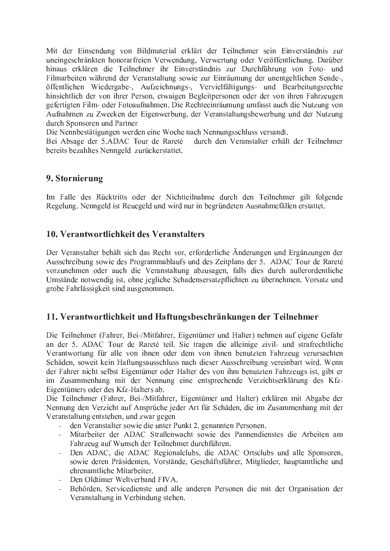Mit der Einsendung von Bildmaterial erklärt der Teilnehmer sein Einverständnis zur uneingeschränkten honorarfreien Verwendung, Verwertung oder Veröffentlichung. Darüber hinaus erklären die Teilnehmer ihr Einverständnis zur Durchführung von Foto- und Filmarbeiten während der Veranstaltung sowie zur Einräumung der unentgeltlichen Sende-, öffentlichen Wiedergabe-, Aufzeichnungs-, Vervielfältigungs- und Bearbeitungsrechte hinsichtlich der von ihrer Person, etwaigen Begleitpersonen oder der von ihren Fahrzeugen gefertigten Film- oder Fotoaufnahmen. Die Rechteeinräumung umfasst auch die Nutzung von Aufnahmen zu Zwecken der Eigenwerbung, der Veranstaltungsbewerbung und der Nutzung durch Sponsoren und Partner

Die Nennbestätigungen werden eine Woche nach Nennungsschluss versandt.

Bei Absage der 5.ADAC Tour de Rareté durch den Veranstalter erhält der Teilnehmer bereits bezahltes Nenngeld zurückerstattet.

#### 9. Stornierung

Im Falle des Rücktritts oder der Nichtteilnahme durch den Teilnehmer gilt folgende Regelung. Nenngeld ist Reuegeld und wird nur in begründeten Ausnahmefällen erstattet.

#### 10. Verantwortlichkeit des Veranstalters

Der Veranstalter behält sich das Recht vor, erforderliche Änderungen und Ergänzungen der Ausschreibung sowie des Programmablaufs und des Zeitplans der 5. ADAC Tour de Rareté vorzunehmen oder auch die Veranstaltung abzusagen, falls dies durch außerordentliche Umstände notwendig ist, ohne jegliche Schadensersatzpflichten zu übernehmen. Vorsatz und grobe Fahrlässigkeit sind ausgenommen.

# 11. Verantwortlichkeit und Haftungsbeschränkungen der Teilnehmer

Die Teilnehmer (Fahrer, Bei-/Mitfahrer, Eigentümer und Halter) nehmen auf eigene Gefahr an der 5. ADAC Tour de Rareté teil. Sie tragen die alleinige zivil- und strafrechtliche Verantwortung für alle von ihnen oder dem von ihnen benutzten Fahrzeug verursachten Schäden, soweit kein Haftungsausschluss nach dieser Ausschreibung vereinbart wird. Wenn der Fahrer nicht selbst Eigentümer oder Halter des von ihm benutzten Fahrzeugs ist, gibt er im Zusammenhang mit der Nennung eine entsprechende Verzichtserklärung des Kfz-Eigentümers oder des Kfz-Halters ab.

Die Teilnehmer (Fahrer, Bei-/Mitfahrer, Eigentümer und Halter) erklären mit Abgabe der Nennung den Verzicht auf Ansprüche jeder Art für Schäden, die im Zusammenhang mit der Veranstaltung entstehen, und zwar gegen

- den Veranstalter sowie die unter Punkt 2. genannten Personen.
- Mitarbeiter der ADAC Straßenwacht sowie des Pannendienstes die Arbeiten am Fahrzeug auf Wunsch der Teilnehmer durchführen.
- Den ADAC, die ADAC Regionalclubs, die ADAC Ortsclubs und alle Sponsoren, sowie deren Präsidenten, Vorstände, Geschäftsführer, Mitglieder, hauptamtliche und ehrenamtliche Mitarbeiter.
- Den Oldtimer Weltverband FIVA.
- Behörden, Servicedienste und alle anderen Personen die mit der Organisation der Veranstaltung in Verbindung stehen.